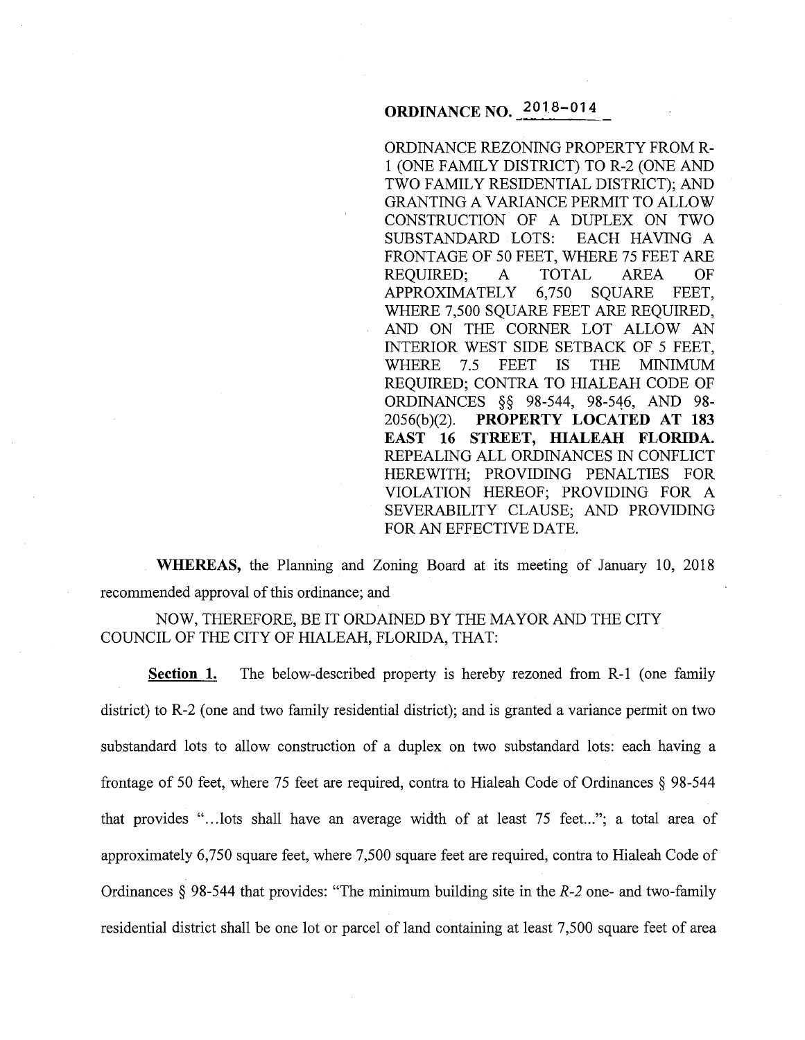# **ORDINANCE** NO.~ **2018-014**

ORDINANCE REZONING PROPERTY FROM R-1 (ONE FAMILY DISTRICT) TO R-2 (ONE AND TWO FAMILY RESIDENTIAL DISTRICT); AND GRANTING A VARIANCE PERMIT TO ALLOW CONSTRUCTION OF A DUPLEX ON TWO SUBSTANDARD LOTS: EACH HAVING A FRONTAGE OF 50 FEET, WHERE 75 FEET ARE REQUIRED; A TOTAL AREA OF APPROXIMATELY 6,750 SQUARE FEET. APPROXIMATELY 6,750 SOUARE FEET, WHERE 7,500 SQUARE FEET ARE REQUIRED, AND ON THE CORNER LOT ALLOW AN INTERIOR WEST SIDE SETBACK OF 5 FEET, WHERE 7.5 FEET IS THE MINIMUM REQUIRED; CONTRA TO HIALEAH CODE OF ORDINANCES §§ 98-544, 98-546, AND 98- 2056(b)(2). **PROPERTY LOCATED AT 183 EAST 16 STREET, HIALEAH FLORIDA.**  REPEALING ALL ORDINANCES IN CONFLICT HEREWITH; PROVIDING PENALTIES FOR VIOLATION HEREOF; PROVIDING FOR A SEVERABILITY CLAUSE; AND PROVIDING FOR AN EFFECTIVE DATE.

**WHEREAS,** the Planning and Zoning Board at its meeting of January 10, 2018 recommended approval of this ordinance; and

NOW, THEREFORE, BE IT ORDAINED BY THE MAYOR AND THE CITY COUNCIL OF THE CITY OF HIALEAH, FLORIDA, THAT:

**Section 1.** The below-described property is hereby rezoned from R-1 (one family district) to R-2 (one and two family residential district); and is granted a variance permit on two substandard lots to allow construction of a duplex on two substandard lots: each having a frontage of 50 feet, where 75 feet are required, contra to Hialeah Code of Ordinances § 98-544 that provides "...lots shall have an average width of at least 75 feet..."; a total area of approximately 6,750 square feet, where 7,500 square feet are required, contra to Hialeah Code of Ordinances § 98-544 that provides: "The minimum building site in the *R-2* one- and two-family residential district shall be one lot or parcel of land containing at least 7,500 square feet of area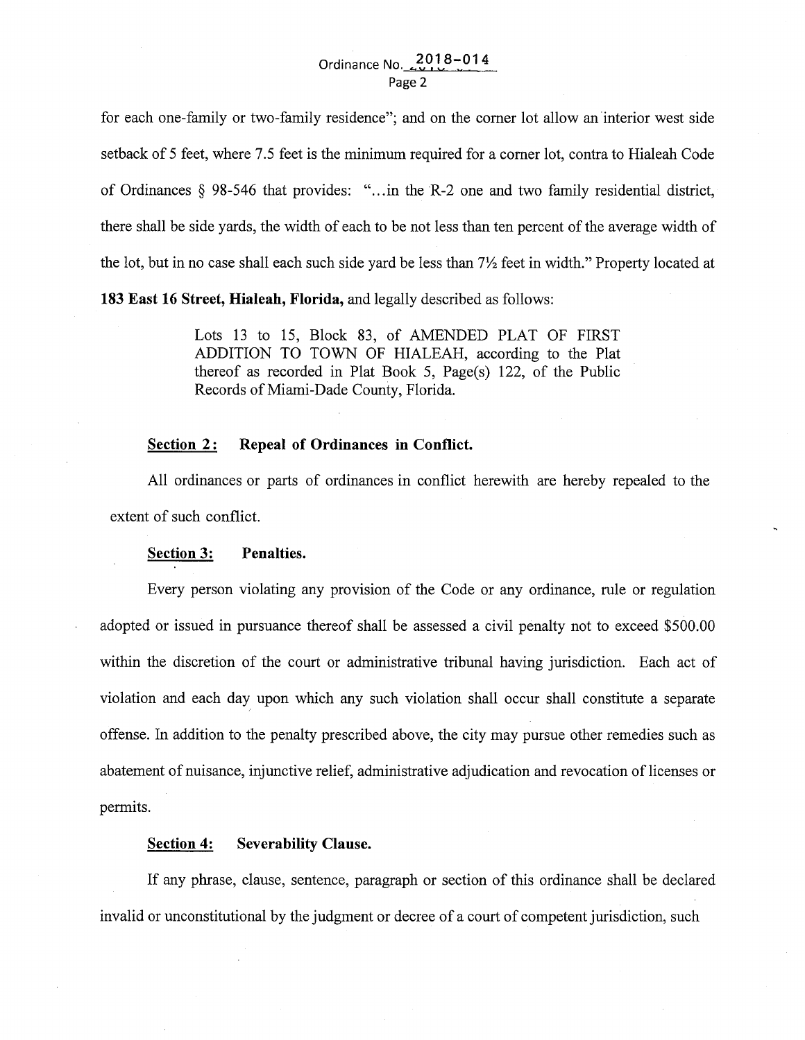for each one-family or two-family residence"; and on the comer lot allow an'interior west side setback of 5 feet, where 7.5 feet is the minimum required for a comer lot, contra to Hialeah Code of Ordinances § 98-546 that provides: " .. .in the R-2 one and two family residential district, there shall be side yards, the width of each to be not less than ten percent of the average width of the lot, but in no case shall each such side yard be less than *7Yz* feet in width." Property located at

**183 East 16 Street, Hialeah, Florida,** and legally described as follows:

Lots 13 to 15, Block 83, of AMENDED PLAT OF FIRST ADDITION TO TOWN OF HIALEAH, according to the Plat thereof as recorded in Plat Book 5, Page(s) 122, of the Public Records of Miami-Dade County, Florida.

### Section 2: Repeal of Ordinances in Conflict.

All ordinances or parts of ordinances in conflict herewith are hereby repealed to the extent of such conflict.

#### **Section 3: Penalties.**

Every person violating any provision of the Code or any ordinance, rule or regulation adopted or issued in pursuance thereof shall be assessed a civil penalty not to exceed \$500.00 within the discretion of the court or administrative tribunal having jurisdiction. Each act of violation and each day upon which any such violation shall occur shall constitute a separate ' offense. In addition to the penalty prescribed above, the city may pursue other remedies such as abatement of nuisance, injunctive relief, administrative adjudication and revocation of licenses or permits.

#### **Section 4: Severability Clause.**

If any phrase, clause, sentence, paragraph or section of this ordinance shall be declared invalid or unconstitutional by the judgment or decree of a court of competent jurisdiction, such